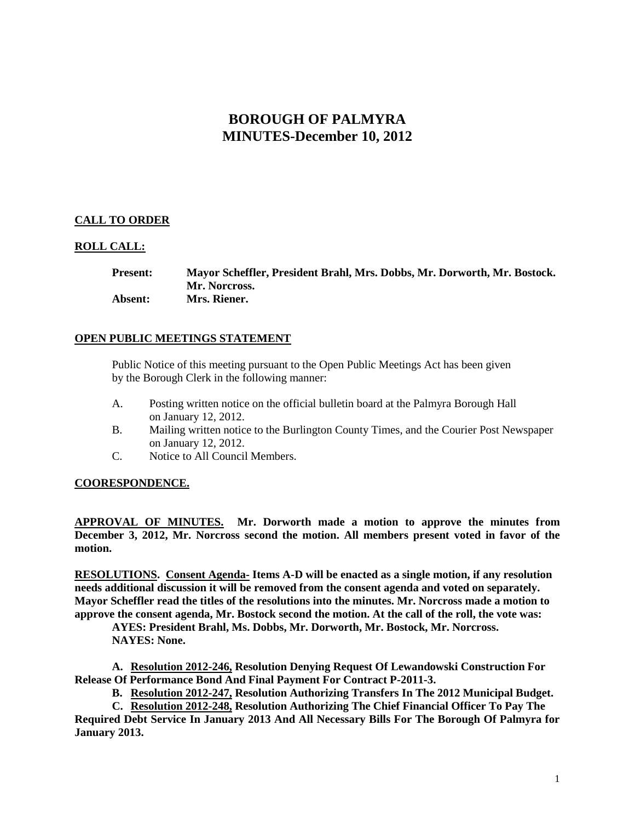# **BOROUGH OF PALMYRA MINUTES-December 10, 2012**

# **CALL TO ORDER**

## **ROLL CALL:**

| <b>Present:</b> | Mayor Scheffler, President Brahl, Mrs. Dobbs, Mr. Dorworth, Mr. Bostock. |
|-----------------|--------------------------------------------------------------------------|
|                 | Mr. Norcross.                                                            |
| <b>Absent:</b>  | Mrs. Riener.                                                             |

## **OPEN PUBLIC MEETINGS STATEMENT**

Public Notice of this meeting pursuant to the Open Public Meetings Act has been given by the Borough Clerk in the following manner:

- A. Posting written notice on the official bulletin board at the Palmyra Borough Hall on January 12, 2012.
- B. Mailing written notice to the Burlington County Times, and the Courier Post Newspaper on January 12, 2012.
- C. Notice to All Council Members.

## **COORESPONDENCE.**

**APPROVAL OF MINUTES. Mr. Dorworth made a motion to approve the minutes from December 3, 2012, Mr. Norcross second the motion. All members present voted in favor of the motion.** 

**RESOLUTIONS. Consent Agenda- Items A-D will be enacted as a single motion, if any resolution needs additional discussion it will be removed from the consent agenda and voted on separately. Mayor Scheffler read the titles of the resolutions into the minutes. Mr. Norcross made a motion to approve the consent agenda, Mr. Bostock second the motion. At the call of the roll, the vote was:**

**AYES: President Brahl, Ms. Dobbs, Mr. Dorworth, Mr. Bostock, Mr. Norcross. NAYES: None.** 

**A. Resolution 2012-246, Resolution Denying Request Of Lewandowski Construction For Release Of Performance Bond And Final Payment For Contract P-2011-3.**

**B. Resolution 2012-247, Resolution Authorizing Transfers In The 2012 Municipal Budget.**

**C. Resolution 2012-248, Resolution Authorizing The Chief Financial Officer To Pay The Required Debt Service In January 2013 And All Necessary Bills For The Borough Of Palmyra for January 2013.**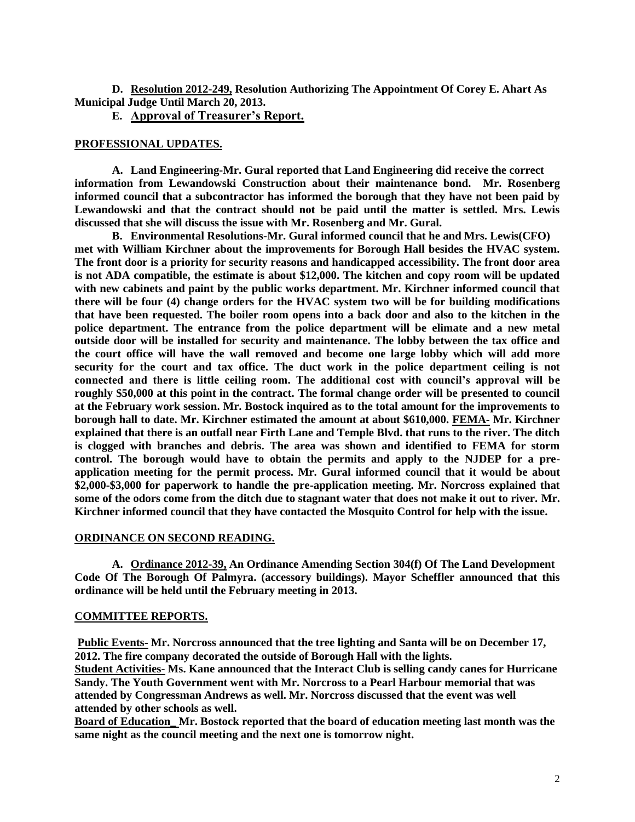**D. Resolution 2012-249, Resolution Authorizing The Appointment Of Corey E. Ahart As Municipal Judge Until March 20, 2013.**

**E. Approval of Treasurer's Report.**

#### **PROFESSIONAL UPDATES.**

**A. Land Engineering-Mr. Gural reported that Land Engineering did receive the correct information from Lewandowski Construction about their maintenance bond. Mr. Rosenberg informed council that a subcontractor has informed the borough that they have not been paid by Lewandowski and that the contract should not be paid until the matter is settled. Mrs. Lewis discussed that she will discuss the issue with Mr. Rosenberg and Mr. Gural.**

**B. Environmental Resolutions-Mr. Gural informed council that he and Mrs. Lewis(CFO) met with William Kirchner about the improvements for Borough Hall besides the HVAC system. The front door is a priority for security reasons and handicapped accessibility. The front door area is not ADA compatible, the estimate is about \$12,000. The kitchen and copy room will be updated with new cabinets and paint by the public works department. Mr. Kirchner informed council that there will be four (4) change orders for the HVAC system two will be for building modifications that have been requested. The boiler room opens into a back door and also to the kitchen in the police department. The entrance from the police department will be elimate and a new metal outside door will be installed for security and maintenance. The lobby between the tax office and the court office will have the wall removed and become one large lobby which will add more security for the court and tax office. The duct work in the police department ceiling is not connected and there is little ceiling room. The additional cost with council's approval will be roughly \$50,000 at this point in the contract. The formal change order will be presented to council at the February work session. Mr. Bostock inquired as to the total amount for the improvements to borough hall to date. Mr. Kirchner estimated the amount at about \$610,000. FEMA- Mr. Kirchner explained that there is an outfall near Firth Lane and Temple Blvd. that runs to the river. The ditch is clogged with branches and debris. The area was shown and identified to FEMA for storm control. The borough would have to obtain the permits and apply to the NJDEP for a preapplication meeting for the permit process. Mr. Gural informed council that it would be about \$2,000-\$3,000 for paperwork to handle the pre-application meeting. Mr. Norcross explained that some of the odors come from the ditch due to stagnant water that does not make it out to river. Mr. Kirchner informed council that they have contacted the Mosquito Control for help with the issue.** 

#### **ORDINANCE ON SECOND READING.**

**A. Ordinance 2012-39, An Ordinance Amending Section 304(f) Of The Land Development Code Of The Borough Of Palmyra. (accessory buildings). Mayor Scheffler announced that this ordinance will be held until the February meeting in 2013.** 

#### **COMMITTEE REPORTS.**

**Public Events- Mr. Norcross announced that the tree lighting and Santa will be on December 17, 2012. The fire company decorated the outside of Borough Hall with the lights. Student Activities- Ms. Kane announced that the Interact Club is selling candy canes for Hurricane Sandy. The Youth Government went with Mr. Norcross to a Pearl Harbour memorial that was attended by Congressman Andrews as well. Mr. Norcross discussed that the event was well attended by other schools as well.** 

**Board of Education\_ Mr. Bostock reported that the board of education meeting last month was the same night as the council meeting and the next one is tomorrow night.**